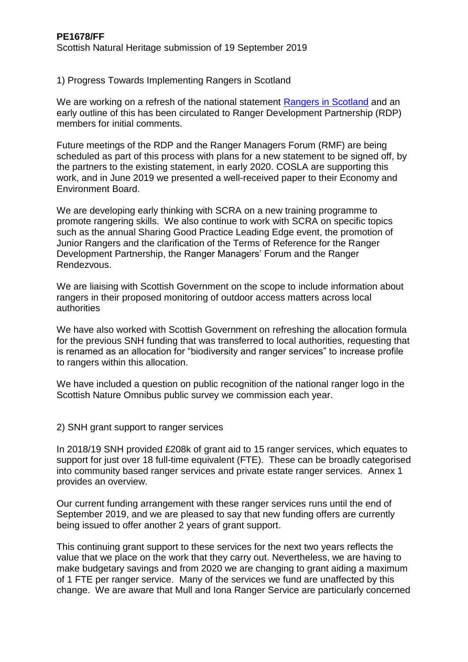1) Progress Towards Implementing Rangers in Scotland

We are working on a refresh of the national statement [Rangers in Scotland](https://www.nature.scot/sites/default/files/2017-07/Publication%202008%20-%20Rangers%20in%20Scotland.pdf) and an early outline of this has been circulated to Ranger Development Partnership (RDP) members for initial comments.

Future meetings of the RDP and the Ranger Managers Forum (RMF) are being scheduled as part of this process with plans for a new statement to be signed off, by the partners to the existing statement, in early 2020. COSLA are supporting this work, and in June 2019 we presented a well-received paper to their Economy and Environment Board.

We are developing early thinking with SCRA on a new training programme to promote rangering skills. We also continue to work with SCRA on specific topics such as the annual Sharing Good Practice Leading Edge event, the promotion of Junior Rangers and the clarification of the Terms of Reference for the Ranger Development Partnership, the Ranger Managers' Forum and the Ranger Rendezvous.

We are liaising with Scottish Government on the scope to include information about rangers in their proposed monitoring of outdoor access matters across local authorities

We have also worked with Scottish Government on refreshing the allocation formula for the previous SNH funding that was transferred to local authorities, requesting that is renamed as an allocation for "biodiversity and ranger services" to increase profile to rangers within this allocation.

We have included a question on public recognition of the national ranger logo in the Scottish Nature Omnibus public survey we commission each year.

2) SNH grant support to ranger services

In 2018/19 SNH provided £208k of grant aid to 15 ranger services, which equates to support for just over 18 full-time equivalent (FTE). These can be broadly categorised into community based ranger services and private estate ranger services. Annex 1 provides an overview.

Our current funding arrangement with these ranger services runs until the end of September 2019, and we are pleased to say that new funding offers are currently being issued to offer another 2 years of grant support.

This continuing grant support to these services for the next two years reflects the value that we place on the work that they carry out. Nevertheless, we are having to make budgetary savings and from 2020 we are changing to grant aiding a maximum of 1 FTE per ranger service. Many of the services we fund are unaffected by this change. We are aware that Mull and Iona Ranger Service are particularly concerned